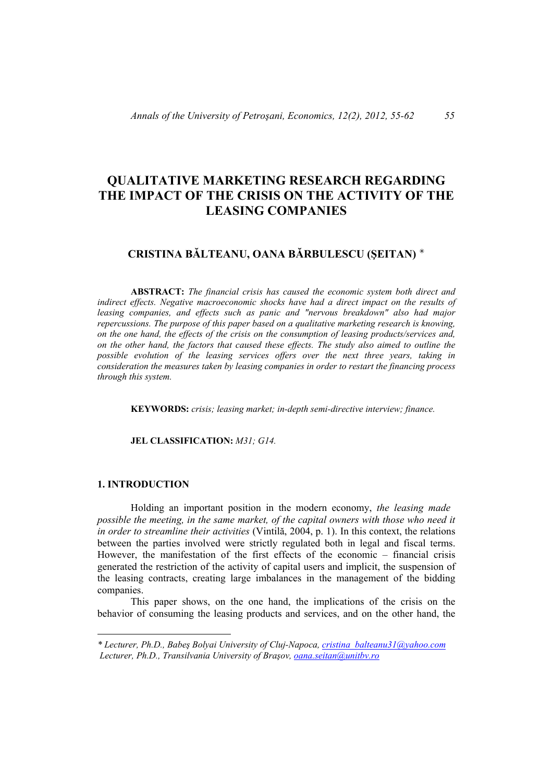# **QUALITATIVE MARKETING RESEARCH REGARDING THE IMPACT OF THE CRISIS ON THE ACTIVITY OF THE LEASING COMPANIES**

# **CRISTINA BĂLTEANU, OANA BĂRBULESCU (ŞEITAN)**

 **ABSTRACT:** *The financial crisis has caused the economic system both direct and indirect effects. Negative macroeconomic shocks have had a direct impact on the results of leasing companies, and effects such as panic and "nervous breakdown" also had major repercussions. The purpose of this paper based on a qualitative marketing research is knowing, on the one hand, the effects of the crisis on the consumption of leasing products/services and, on the other hand, the factors that caused these effects. The study also aimed to outline the possible evolution of the leasing services offers over the next three years, taking in consideration the measures taken by leasing companies in order to restart the financing process through this system.* 

 **KEYWORDS:** *crisis; leasing market; in-depth semi-directive interview; finance.* 

 **JEL CLASSIFICATION:** *M31; G14.* 

# **1. INTRODUCTION**

 $\overline{a}$ 

 Holding an important position in the modern economy, *the leasing made possible the meeting, in the same market, of the capital owners with those who need it in order to streamline their activities* (Vintilă, 2004, p. 1). In this context, the relations between the parties involved were strictly regulated both in legal and fiscal terms. However, the manifestation of the first effects of the economic – financial crisis generated the restriction of the activity of capital users and implicit, the suspension of the leasing contracts, creating large imbalances in the management of the bidding companies.

 This paper shows, on the one hand, the implications of the crisis on the behavior of consuming the leasing products and services, and on the other hand, the

*<sup>\*</sup> Lecturer, Ph.D., Babeş Bolyai University of Cluj-Napoca, cristina\_balteanu31@yahoo.com Lecturer, Ph.D., Transilvania University of Braşov, oana.seitan@unitbv.ro*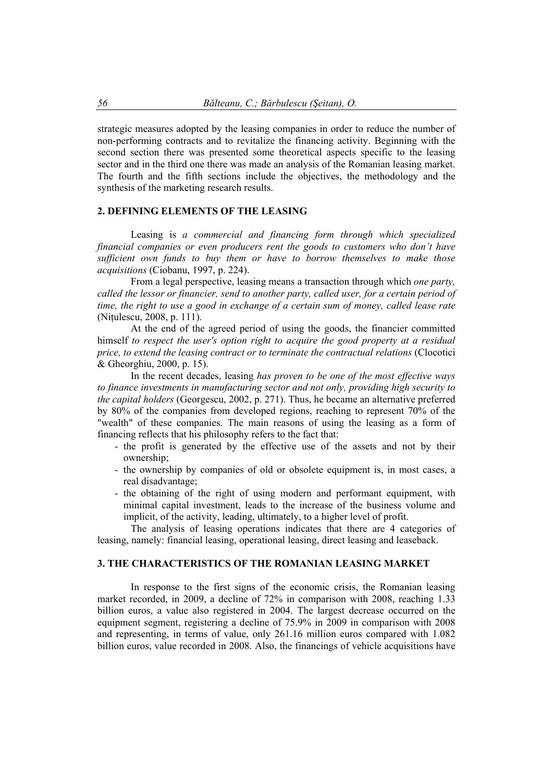strategic measures adopted by the leasing companies in order to reduce the number of non-performing contracts and to revitalize the financing activity. Beginning with the second section there was presented some theoretical aspects specific to the leasing sector and in the third one there was made an analysis of the Romanian leasing market. The fourth and the fifth sections include the objectives, the methodology and the synthesis of the marketing research results.

### **2. DEFINING ELEMENTS OF THE LEASING**

 Leasing is *a commercial and financing form through which specialized financial companies or even producers rent the goods to customers who don't have sufficient own funds to buy them or have to borrow themselves to make those acquisitions* (Ciobanu, 1997, p. 224).

 From a legal perspective, leasing means a transaction through which *one party, called the lessor or financier, send to another party, called user, for a certain period of time, the right to use a good in exchange of a certain sum of money, called lease rate* (Niţulescu, 2008, p. 111).

 At the end of the agreed period of using the goods, the financier committed himself *to respect the user's option right to acquire the good property at a residual price, to extend the leasing contract or to terminate the contractual relations* (Clocotici & Gheorghiu, 2000, p. 15).

 In the recent decades, leasing *has proven to be one of the most effective ways to finance investments in manufacturing sector and not only, providing high security to the capital holders* (Georgescu, 2002, p. 271). Thus, he became an alternative preferred by 80% of the companies from developed regions, reaching to represent 70% of the "wealth" of these companies. The main reasons of using the leasing as a form of financing reflects that his philosophy refers to the fact that:

- the profit is generated by the effective use of the assets and not by their ownership;
- the ownership by companies of old or obsolete equipment is, in most cases, a real disadvantage;
- the obtaining of the right of using modern and performant equipment, with minimal capital investment, leads to the increase of the business volume and implicit, of the activity, leading, ultimately, to a higher level of profit.

 The analysis of leasing operations indicates that there are 4 categories of leasing, namely: financial leasing, operational leasing, direct leasing and leaseback.

#### **3. THE CHARACTERISTICS OF THE ROMANIAN LEASING MARKET**

 In response to the first signs of the economic crisis, the Romanian leasing market recorded, in 2009, a decline of 72% in comparison with 2008, reaching 1.33 billion euros, a value also registered in 2004. The largest decrease occurred on the equipment segment, registering a decline of 75.9% in 2009 in comparison with 2008 and representing, in terms of value, only 261.16 million euros compared with 1.082 billion euros, value recorded in 2008. Also, the financings of vehicle acquisitions have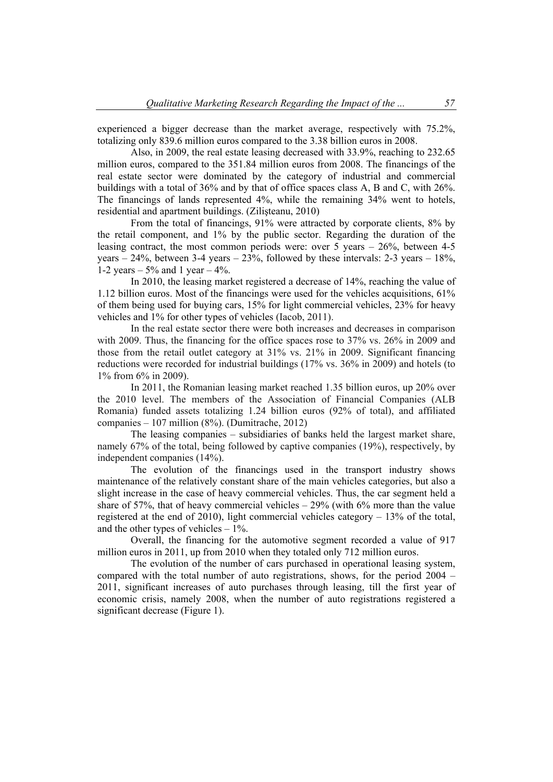experienced a bigger decrease than the market average, respectively with 75.2%, totalizing only 839.6 million euros compared to the 3.38 billion euros in 2008.

 Also, in 2009, the real estate leasing decreased with 33.9%, reaching to 232.65 million euros, compared to the 351.84 million euros from 2008. The financings of the real estate sector were dominated by the category of industrial and commercial buildings with a total of 36% and by that of office spaces class A, B and C, with 26%. The financings of lands represented 4%, while the remaining 34% went to hotels, residential and apartment buildings. (Zilişteanu, 2010)

 From the total of financings, 91% were attracted by corporate clients, 8% by the retail component, and 1% by the public sector. Regarding the duration of the leasing contract, the most common periods were: over 5 years – 26%, between 4-5 years  $-24\%$ , between 3-4 years  $-23\%$ , followed by these intervals: 2-3 years  $-18\%$ , 1-2 years –  $5\%$  and 1 year –  $4\%$ .

 In 2010, the leasing market registered a decrease of 14%, reaching the value of 1.12 billion euros. Most of the financings were used for the vehicles acquisitions, 61% of them being used for buying cars, 15% for light commercial vehicles, 23% for heavy vehicles and 1% for other types of vehicles (Iacob, 2011).

 In the real estate sector there were both increases and decreases in comparison with 2009. Thus, the financing for the office spaces rose to 37% vs. 26% in 2009 and those from the retail outlet category at 31% vs. 21% in 2009. Significant financing reductions were recorded for industrial buildings (17% vs. 36% in 2009) and hotels (to 1% from 6% in 2009).

 In 2011, the Romanian leasing market reached 1.35 billion euros, up 20% over the 2010 level. The members of the Association of Financial Companies (ALB Romania) funded assets totalizing 1.24 billion euros (92% of total), and affiliated companies – 107 million (8%). (Dumitrache, 2012)

 The leasing companies – subsidiaries of banks held the largest market share, namely 67% of the total, being followed by captive companies (19%), respectively, by independent companies (14%).

 The evolution of the financings used in the transport industry shows maintenance of the relatively constant share of the main vehicles categories, but also a slight increase in the case of heavy commercial vehicles. Thus, the car segment held a share of 57%, that of heavy commercial vehicles  $-29%$  (with 6% more than the value registered at the end of 2010), light commercial vehicles category – 13% of the total, and the other types of vehicles  $-1\%$ .

 Overall, the financing for the automotive segment recorded a value of 917 million euros in 2011, up from 2010 when they totaled only 712 million euros.

 The evolution of the number of cars purchased in operational leasing system, compared with the total number of auto registrations, shows, for the period 2004 – 2011, significant increases of auto purchases through leasing, till the first year of economic crisis, namely 2008, when the number of auto registrations registered a significant decrease (Figure 1).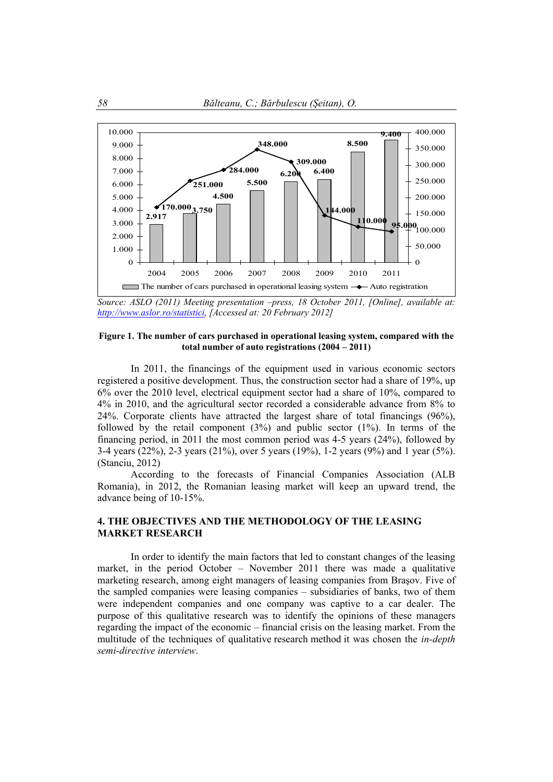

*Source: ASLO (2011) Meeting presentation –press, 18 October 2011, [Online], available at: http://www.aslor.ro/statistici, [Accessed at: 20 February 2012]* 

#### **Figure 1. The number of cars purchased in operational leasing system, compared with the total number of auto registrations (2004 – 2011)**

 In 2011, the financings of the equipment used in various economic sectors registered a positive development. Thus, the construction sector had a share of 19%, up 6% over the 2010 level, electrical equipment sector had a share of 10%, compared to 4% in 2010, and the agricultural sector recorded a considerable advance from 8% to 24%. Corporate clients have attracted the largest share of total financings (96%), followed by the retail component  $(3\%)$  and public sector  $(1\%)$ . In terms of the financing period, in 2011 the most common period was 4-5 years (24%), followed by 3-4 years (22%), 2-3 years (21%), over 5 years (19%), 1-2 years (9%) and 1 year (5%). (Stanciu, 2012)

According to the forecasts of Financial Companies Association (ALB Romania), in 2012, the Romanian leasing market will keep an upward trend, the advance being of 10-15%.

### **4. THE OBJECTIVES AND THE METHODOLOGY OF THE LEASING MARKET RESEARCH**

 In order to identify the main factors that led to constant changes of the leasing market, in the period October – November 2011 there was made a qualitative marketing research, among eight managers of leasing companies from Braşov. Five of the sampled companies were leasing companies – subsidiaries of banks, two of them were independent companies and one company was captive to a car dealer. The purpose of this qualitative research was to identify the opinions of these managers regarding the impact of the economic – financial crisis on the leasing market. From the multitude of the techniques of qualitative research method it was chosen the *in-depth semi-directive interview*.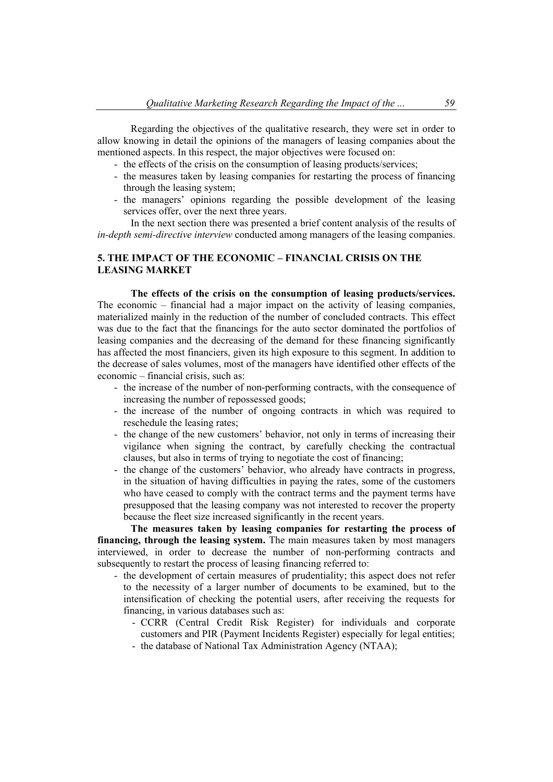Regarding the objectives of the qualitative research, they were set in order to allow knowing in detail the opinions of the managers of leasing companies about the mentioned aspects. In this respect, the major objectives were focused on:

- the effects of the crisis on the consumption of leasing products/services;
- the measures taken by leasing companies for restarting the process of financing through the leasing system;
- the managers' opinions regarding the possible development of the leasing services offer, over the next three years.

In the next section there was presented a brief content analysis of the results of *in-depth semi-directive interview* conducted among managers of the leasing companies.

# **5. THE IMPACT OF THE ECONOMIC – FINANCIAL CRISIS ON THE LEASING MARKET**

 **The effects of the crisis on the consumption of leasing products/services.**  The economic – financial had a major impact on the activity of leasing companies, materialized mainly in the reduction of the number of concluded contracts. This effect was due to the fact that the financings for the auto sector dominated the portfolios of leasing companies and the decreasing of the demand for these financing significantly has affected the most financiers, given its high exposure to this segment. In addition to the decrease of sales volumes, most of the managers have identified other effects of the economic – financial crisis, such as:

- the increase of the number of non-performing contracts, with the consequence of increasing the number of repossessed goods;
- the increase of the number of ongoing contracts in which was required to reschedule the leasing rates;
- the change of the new customers' behavior, not only in terms of increasing their vigilance when signing the contract, by carefully checking the contractual clauses, but also in terms of trying to negotiate the cost of financing;
- the change of the customers' behavior, who already have contracts in progress, in the situation of having difficulties in paying the rates, some of the customers who have ceased to comply with the contract terms and the payment terms have presupposed that the leasing company was not interested to recover the property because the fleet size increased significantly in the recent years.

 **The measures taken by leasing companies for restarting the process of financing, through the leasing system.** The main measures taken by most managers interviewed, in order to decrease the number of non-performing contracts and subsequently to restart the process of leasing financing referred to:

- the development of certain measures of prudentiality; this aspect does not refer to the necessity of a larger number of documents to be examined, but to the intensification of checking the potential users, after receiving the requests for financing, in various databases such as:
	- CCRR (Central Credit Risk Register) for individuals and corporate customers and PIR (Payment Incidents Register) especially for legal entities;
	- the database of National Tax Administration Agency (NTAA);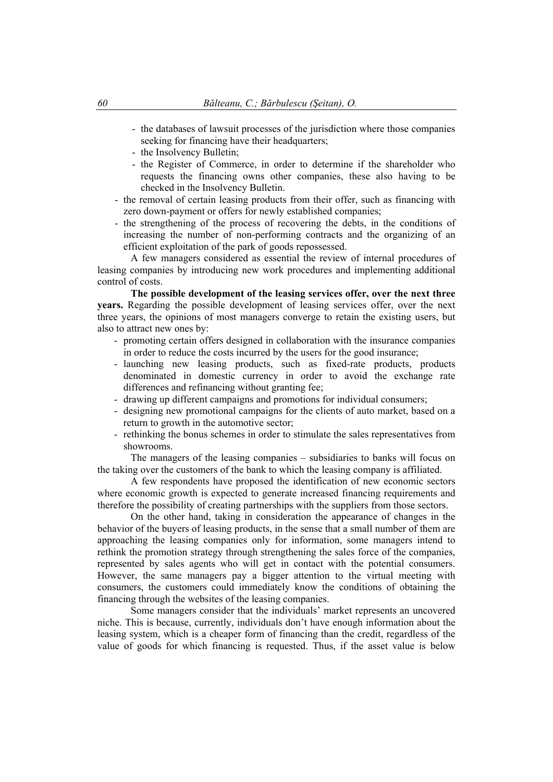- the databases of lawsuit processes of the jurisdiction where those companies seeking for financing have their headquarters;
- the Insolvency Bulletin;
- the Register of Commerce, in order to determine if the shareholder who requests the financing owns other companies, these also having to be checked in the Insolvency Bulletin.
- the removal of certain leasing products from their offer, such as financing with zero down-payment or offers for newly established companies;
- the strengthening of the process of recovering the debts, in the conditions of increasing the number of non-performing contracts and the organizing of an efficient exploitation of the park of goods repossessed.

 A few managers considered as essential the review of internal procedures of leasing companies by introducing new work procedures and implementing additional control of costs.

 **The possible development of the leasing services offer, over the next three years.** Regarding the possible development of leasing services offer, over the next three years, the opinions of most managers converge to retain the existing users, but also to attract new ones by:

- promoting certain offers designed in collaboration with the insurance companies in order to reduce the costs incurred by the users for the good insurance;
- launching new leasing products, such as fixed-rate products, products denominated in domestic currency in order to avoid the exchange rate differences and refinancing without granting fee;
- drawing up different campaigns and promotions for individual consumers;
- designing new promotional campaigns for the clients of auto market, based on a return to growth in the automotive sector;
- rethinking the bonus schemes in order to stimulate the sales representatives from showrooms.

 The managers of the leasing companies – subsidiaries to banks will focus on the taking over the customers of the bank to which the leasing company is affiliated.

 A few respondents have proposed the identification of new economic sectors where economic growth is expected to generate increased financing requirements and therefore the possibility of creating partnerships with the suppliers from those sectors.

 On the other hand, taking in consideration the appearance of changes in the behavior of the buyers of leasing products, in the sense that a small number of them are approaching the leasing companies only for information, some managers intend to rethink the promotion strategy through strengthening the sales force of the companies, represented by sales agents who will get in contact with the potential consumers. However, the same managers pay a bigger attention to the virtual meeting with consumers, the customers could immediately know the conditions of obtaining the financing through the websites of the leasing companies.

 Some managers consider that the individuals' market represents an uncovered niche. This is because, currently, individuals don't have enough information about the leasing system, which is a cheaper form of financing than the credit, regardless of the value of goods for which financing is requested. Thus, if the asset value is below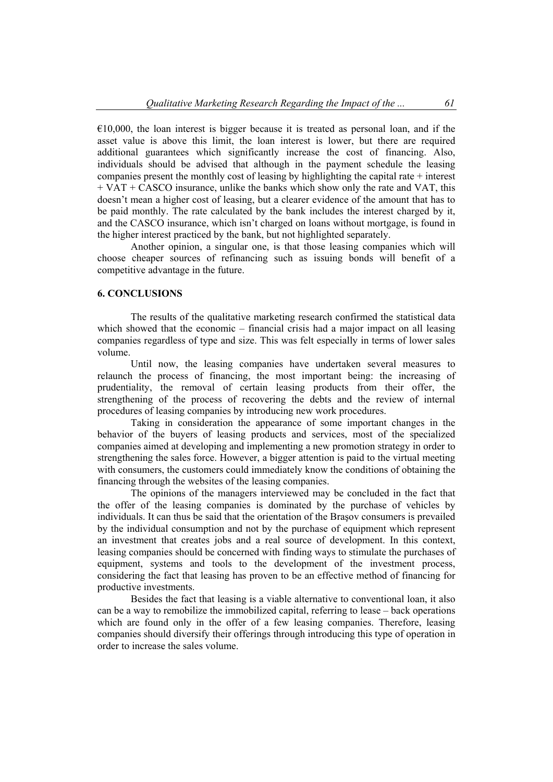$\epsilon$ 10,000, the loan interest is bigger because it is treated as personal loan, and if the asset value is above this limit, the loan interest is lower, but there are required additional guarantees which significantly increase the cost of financing. Also, individuals should be advised that although in the payment schedule the leasing companies present the monthly cost of leasing by highlighting the capital rate + interest + VAT + CASCO insurance, unlike the banks which show only the rate and VAT, this doesn't mean a higher cost of leasing, but a clearer evidence of the amount that has to be paid monthly. The rate calculated by the bank includes the interest charged by it, and the CASCO insurance, which isn't charged on loans without mortgage, is found in the higher interest practiced by the bank, but not highlighted separately.

 Another opinion, a singular one, is that those leasing companies which will choose cheaper sources of refinancing such as issuing bonds will benefit of a competitive advantage in the future.

### **6. CONCLUSIONS**

 The results of the qualitative marketing research confirmed the statistical data which showed that the economic – financial crisis had a major impact on all leasing companies regardless of type and size. This was felt especially in terms of lower sales volume.

 Until now, the leasing companies have undertaken several measures to relaunch the process of financing, the most important being: the increasing of prudentiality, the removal of certain leasing products from their offer, the strengthening of the process of recovering the debts and the review of internal procedures of leasing companies by introducing new work procedures.

 Taking in consideration the appearance of some important changes in the behavior of the buyers of leasing products and services, most of the specialized companies aimed at developing and implementing a new promotion strategy in order to strengthening the sales force. However, a bigger attention is paid to the virtual meeting with consumers, the customers could immediately know the conditions of obtaining the financing through the websites of the leasing companies.

 The opinions of the managers interviewed may be concluded in the fact that the offer of the leasing companies is dominated by the purchase of vehicles by individuals. It can thus be said that the orientation of the Braşov consumers is prevailed by the individual consumption and not by the purchase of equipment which represent an investment that creates jobs and a real source of development. In this context, leasing companies should be concerned with finding ways to stimulate the purchases of equipment, systems and tools to the development of the investment process, considering the fact that leasing has proven to be an effective method of financing for productive investments.

 Besides the fact that leasing is a viable alternative to conventional loan, it also can be a way to remobilize the immobilized capital, referring to lease – back operations which are found only in the offer of a few leasing companies. Therefore, leasing companies should diversify their offerings through introducing this type of operation in order to increase the sales volume.